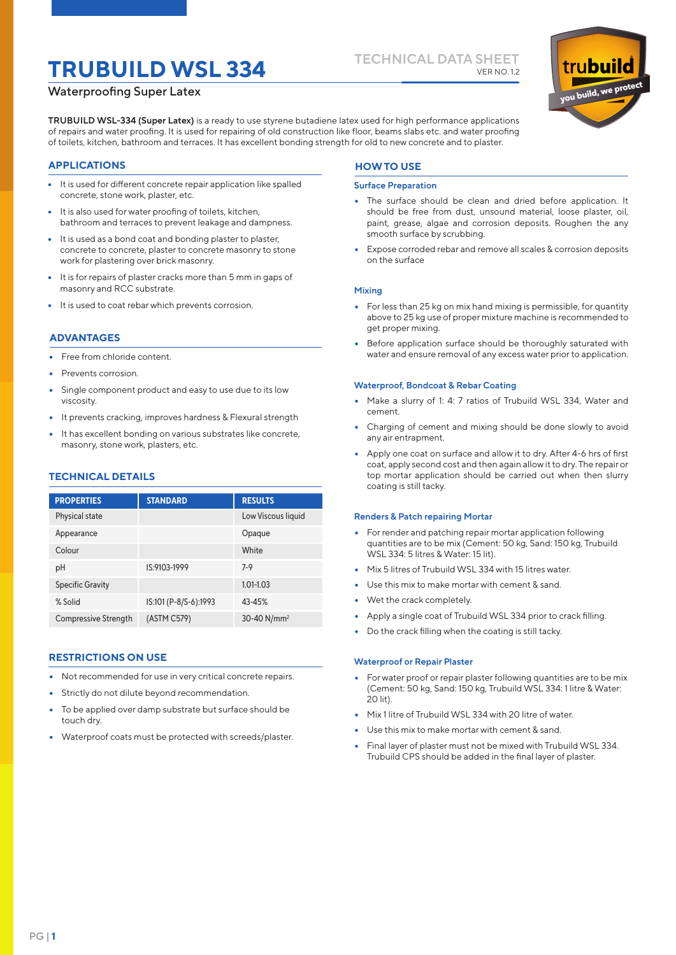# **TECHNICAL DATA SHEET TRUBUILD WSL 334** VER NO. 1.2

# Waterproofing Super Latex

**TRUBUILD WSL-334 (Super Latex)** is a ready to use styrene butadiene latex used for high performance applications of repairs and water proofing. It is used for repairing of old construction like floor, beams slabs etc. and water proofing of toilets, kitchen, bathroom and terraces. It has excellent bonding strength for old to new concrete and to plaster.

# **APPLICATIONS**

- It is used for different concrete repair application like spalled concrete, stone work, plaster, etc.
- It is also used for water proofing of toilets, kitchen, bathroom and terraces to prevent leakage and dampness.
- It is used as a bond coat and bonding plaster to plaster, concrete to concrete, plaster to concrete masonry to stone work for plastering over brick masonry.
- It is for repairs of plaster cracks more than 5 mm in gaps of masonry and RCC substrate.
- It is used to coat rebar which prevents corrosion.

# **ADVANTAGES**

- Free from chloride content.
- Prevents corrosion.
- Single component product and easy to use due to its low viscosity.
- It prevents cracking, improves hardness & Flexural strength
- It has excellent bonding on various substrates like concrete, masonry, stone work, plasters, etc.

# **TECHNICAL DETAILS**

#### Physical state Appearance Colour pH Specific Gravity % Solid Compressive Strength Low Viscous liquid Opaque White 7-9 1.01-1.03 43-45% 30-40 N/mm2 IS:9103-1999 IS:101 (P-8/S-6):1993 (ASTM C579) **PROPERTIES STANDARD RESULTS**

# **RESTRICTIONS ON USE**

- Not recommended for use in very critical concrete repairs.
- Strictly do not dilute beyond recommendation.
- To be applied over damp substrate but surface should be touch dry.
- Waterproof coats must be protected with screeds/plaster.

# **HOW TO USE**

#### **Surface Preparation**

- The surface should be clean and dried before application. It should be free from dust, unsound material, loose plaster, oil, paint, grease, algae and corrosion deposits. Roughen the any smooth surface by scrubbing.
- Expose corroded rebar and remove all scales & corrosion deposits on the surface

#### **Mixing**

- For less than 25 kg on mix hand mixing is permissible, for quantity above to 25 kg use of proper mixture machine is recommended to get proper mixing.
- Before application surface should be thoroughly saturated with water and ensure removal of any excess water prior to application.

#### **Waterproof, Bondcoat & Rebar Coating**

- Make a slurry of 1: 4: 7 ratios of Trubuild WSL 334, Water and cement.
- Charging of cement and mixing should be done slowly to avoid any air entrapment.
- Apply one coat on surface and allow it to dry. After 4-6 hrs of first coat, apply second cost and then again allow it to dry. The repair or top mortar application should be carried out when then slurry coating is still tacky.

#### **Renders & Patch repairing Mortar**

- For render and patching repair mortar application following quantities are to be mix (Cement: 50 kg, Sand: 150 kg, Trubuild WSL 334: 5 litres & Water: 15 lit).
- Mix 5 litres of Trubuild WSL 334 with 15 litres water.
- Use this mix to make mortar with cement & sand.
- Wet the crack completely.
- Apply a single coat of Trubuild WSL 334 prior to crack filling.
- Do the crack filling when the coating is still tacky.

#### **Waterproof or Repair Plaster**

- For water proof or repair plaster following quantities are to be mix (Cement: 50 kg, Sand: 150 kg, Trubuild WSL 334: 1 litre & Water: 20 lit).
- Mix 1 litre of Trubuild WSL 334 with 20 litre of water.
- Use this mix to make mortar with cement & sand.
- Final layer of plaster must not be mixed with Trubuild WSL 334. Trubuild CPS should be added in the final layer of plaster.